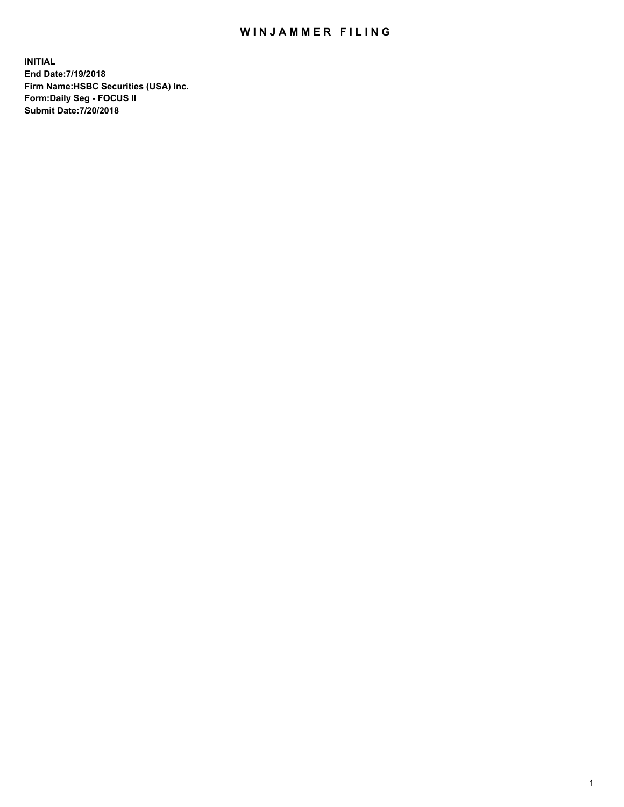## WIN JAMMER FILING

**INITIAL End Date:7/19/2018 Firm Name:HSBC Securities (USA) Inc. Form:Daily Seg - FOCUS II Submit Date:7/20/2018**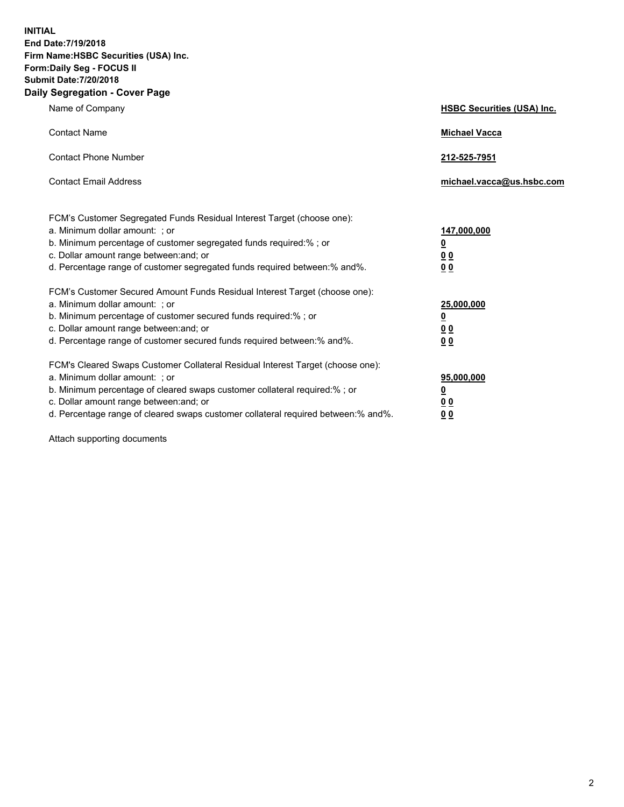**INITIAL End Date:7/19/2018 Firm Name:HSBC Securities (USA) Inc. Form:Daily Seg - FOCUS II Submit Date:7/20/2018 Daily Segregation - Cover Page**

| Name of Company                                                                                                                                                                                                                                                                                                                | <b>HSBC Securities (USA) Inc.</b>                                           |
|--------------------------------------------------------------------------------------------------------------------------------------------------------------------------------------------------------------------------------------------------------------------------------------------------------------------------------|-----------------------------------------------------------------------------|
| <b>Contact Name</b>                                                                                                                                                                                                                                                                                                            | <b>Michael Vacca</b>                                                        |
| <b>Contact Phone Number</b>                                                                                                                                                                                                                                                                                                    | 212-525-7951                                                                |
| <b>Contact Email Address</b>                                                                                                                                                                                                                                                                                                   | michael.vacca@us.hsbc.com                                                   |
| FCM's Customer Segregated Funds Residual Interest Target (choose one):<br>a. Minimum dollar amount: ; or<br>b. Minimum percentage of customer segregated funds required:% ; or<br>c. Dollar amount range between: and; or<br>d. Percentage range of customer segregated funds required between:% and%.                         | 147,000,000<br>$\underline{\mathbf{0}}$<br>0 <sub>0</sub><br>0 <sub>0</sub> |
| FCM's Customer Secured Amount Funds Residual Interest Target (choose one):<br>a. Minimum dollar amount: ; or<br>b. Minimum percentage of customer secured funds required:% ; or<br>c. Dollar amount range between: and; or<br>d. Percentage range of customer secured funds required between: % and %.                         | 25,000,000<br><u>0</u><br>0 <sub>0</sub><br>0 <sub>0</sub>                  |
| FCM's Cleared Swaps Customer Collateral Residual Interest Target (choose one):<br>a. Minimum dollar amount: ; or<br>b. Minimum percentage of cleared swaps customer collateral required:% ; or<br>c. Dollar amount range between: and; or<br>d. Percentage range of cleared swaps customer collateral required between:% and%. | 95,000,000<br><u>0</u><br>00<br>00                                          |

Attach supporting documents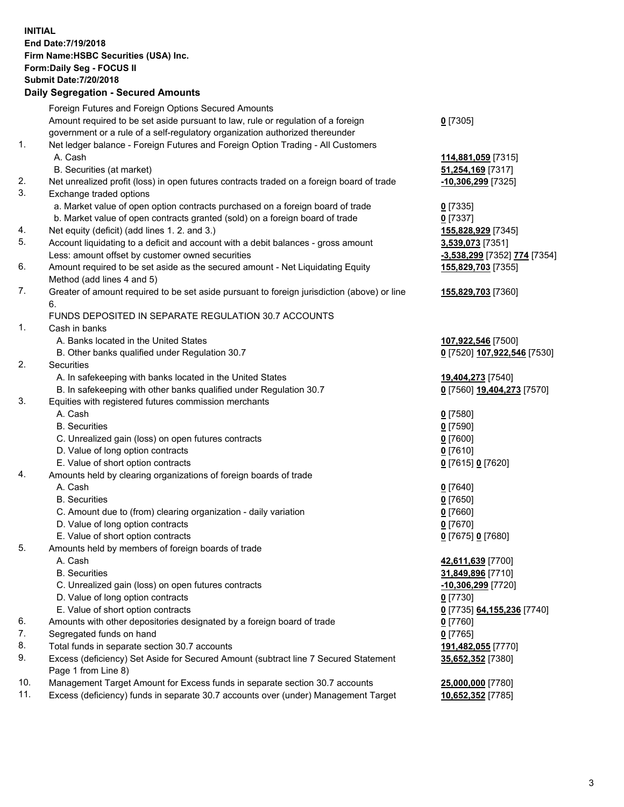**INITIAL End Date:7/19/2018 Firm Name:HSBC Securities (USA) Inc. Form:Daily Seg - FOCUS II Submit Date:7/20/2018 Daily Segregation - Secured Amounts** Foreign Futures and Foreign Options Secured Amounts Amount required to be set aside pursuant to law, rule or regulation of a foreign government or a rule of a self-regulatory organization authorized thereunder 1. Net ledger balance - Foreign Futures and Foreign Option Trading - All Customers A. Cash **114,881,059** [7315] B. Securities (at market) **51,254,169** [7317] 2. Net unrealized profit (loss) in open futures contracts traded on a foreign board of trade **-10,306,299** [7325] 3. Exchange traded options a. Market value of open option contracts purchased on a foreign board of trade **0** [7335] b. Market value of open contracts granted (sold) on a foreign board of trade **0** [7337] 4. Net equity (deficit) (add lines 1. 2. and 3.) **155,828,929** [7345] 5. Account liquidating to a deficit and account with a debit balances - gross amount **3,539,073** [7351] Less: amount offset by customer owned securities **-3,538,299** [7352] **774** [7354] 6. Amount required to be set aside as the secured amount - Net Liquidating Equity Method (add lines 4 and 5) 7. Greater of amount required to be set aside pursuant to foreign jurisdiction (above) or line 6. FUNDS DEPOSITED IN SEPARATE REGULATION 30.7 ACCOUNTS 1. Cash in banks

- - A. Banks located in the United States **107,922,546** [7500]
- B. Other banks qualified under Regulation 30.7 **0** [7520] **107,922,546** [7530]
- 2. Securities
	- A. In safekeeping with banks located in the United States **19,404,273** [7540]
	- B. In safekeeping with other banks qualified under Regulation 30.7 **0** [7560] **19,404,273** [7570]
- 3. Equities with registered futures commission merchants
	-
	- B. Securities **0** [7590]
	- C. Unrealized gain (loss) on open futures contracts **0** [7600]
	- D. Value of long option contracts **0** [7610]
	- E. Value of short option contracts **0** [7615] **0** [7620]
- 4. Amounts held by clearing organizations of foreign boards of trade
	- A. Cash **0** [7640]
	- B. Securities **0** [7650]
	- C. Amount due to (from) clearing organization daily variation **0** [7660]
	- D. Value of long option contracts **0** [7670]
	- E. Value of short option contracts **0** [7675] **0** [7680]
- 5. Amounts held by members of foreign boards of trade
	-
	-
	- C. Unrealized gain (loss) on open futures contracts **-10,306,299** [7720]
	- D. Value of long option contracts **0** [7730]
	- E. Value of short option contracts **0** [7735] **64,155,236** [7740]
- 6. Amounts with other depositories designated by a foreign board of trade **0** [7760]
- 7. Segregated funds on hand **0** [7765]
- 8. Total funds in separate section 30.7 accounts **191,482,055** [7770]
- 9. Excess (deficiency) Set Aside for Secured Amount (subtract line 7 Secured Statement Page 1 from Line 8)
- 10. Management Target Amount for Excess funds in separate section 30.7 accounts **25,000,000** [7780]
- 11. Excess (deficiency) funds in separate 30.7 accounts over (under) Management Target **10,652,352** [7785]

**0** [7305]

**155,829,703** [7355] **155,829,703** [7360] A. Cash **0** [7580]

- 
- -
- 
- A. Cash **42,611,639** [7700] B. Securities **31,849,896** [7710] **35,652,352** [7380]
	-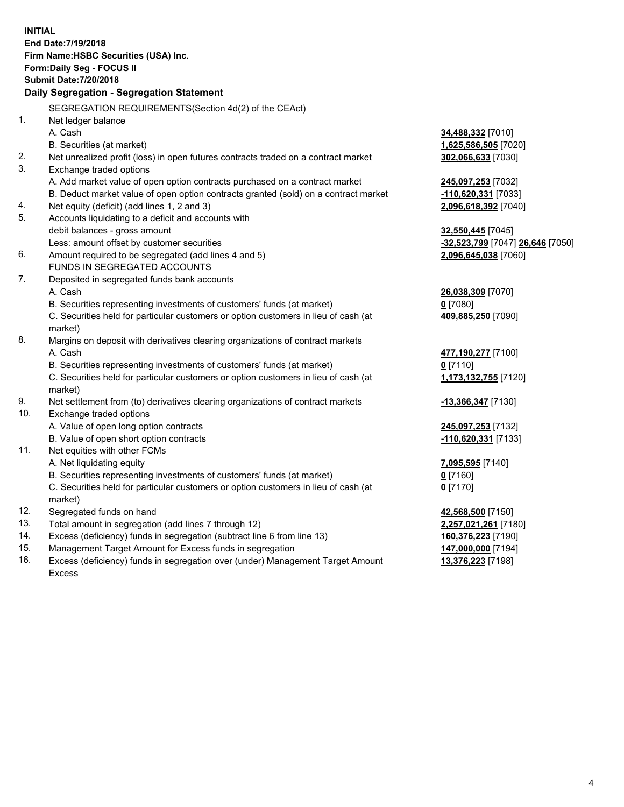**INITIAL End Date:7/19/2018 Firm Name:HSBC Securities (USA) Inc. Form:Daily Seg - FOCUS II Submit Date:7/20/2018 Daily Segregation - Segregation Statement** SEGREGATION REQUIREMENTS(Section 4d(2) of the CEAct) 1. Net ledger balance A. Cash **34,488,332** [7010] B. Securities (at market) **1,625,586,505** [7020] 2. Net unrealized profit (loss) in open futures contracts traded on a contract market **302,066,633** [7030] 3. Exchange traded options A. Add market value of open option contracts purchased on a contract market **245,097,253** [7032] B. Deduct market value of open option contracts granted (sold) on a contract market **-110,620,331** [7033] 4. Net equity (deficit) (add lines 1, 2 and 3) **2,096,618,392** [7040] 5. Accounts liquidating to a deficit and accounts with debit balances - gross amount **32,550,445** [7045] Less: amount offset by customer securities **-32,523,799** [7047] **26,646** [7050] 6. Amount required to be segregated (add lines 4 and 5) **2,096,645,038** [7060] FUNDS IN SEGREGATED ACCOUNTS 7. Deposited in segregated funds bank accounts A. Cash **26,038,309** [7070] B. Securities representing investments of customers' funds (at market) **0** [7080] C. Securities held for particular customers or option customers in lieu of cash (at market) **409,885,250** [7090] 8. Margins on deposit with derivatives clearing organizations of contract markets A. Cash **477,190,277** [7100] B. Securities representing investments of customers' funds (at market) **0** [7110] C. Securities held for particular customers or option customers in lieu of cash (at market) **1,173,132,755** [7120] 9. Net settlement from (to) derivatives clearing organizations of contract markets **-13,366,347** [7130] 10. Exchange traded options A. Value of open long option contracts **245,097,253** [7132] B. Value of open short option contracts **-110,620,331** [7133] 11. Net equities with other FCMs A. Net liquidating equity **7,095,595** [7140] B. Securities representing investments of customers' funds (at market) **0** [7160] C. Securities held for particular customers or option customers in lieu of cash (at market) **0** [7170] 12. Segregated funds on hand **42,568,500** [7150] 13. Total amount in segregation (add lines 7 through 12) **2,257,021,261** [7180] 14. Excess (deficiency) funds in segregation (subtract line 6 from line 13) **160,376,223** [7190] 15. Management Target Amount for Excess funds in segregation **147,000,000** [7194]

16. Excess (deficiency) funds in segregation over (under) Management Target Amount Excess

**13,376,223** [7198]